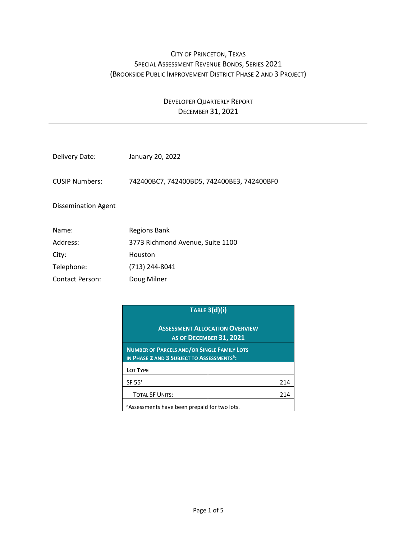## CITY OF PRINCETON, TEXAS SPECIAL ASSESSMENT REVENUE BONDS, SERIES 2021 (BROOKSIDE PUBLIC IMPROVEMENT DISTRICT PHASE 2 AND 3 PROJECT)

## DEVELOPER QUARTERLY REPORT DECEMBER 31, 2021

| Delivery Date:        | January 20, 2022                           |
|-----------------------|--------------------------------------------|
| <b>CUSIP Numbers:</b> | 742400BC7, 742400BD5, 742400BE3, 742400BF0 |
| Dissemination Agent   |                                            |
| Name:                 | Regions Bank                               |
| Address:              | 3773 Richmond Avenue, Suite 1100           |
| City:                 | Houston                                    |
| Telephone:            | (713) 244-8041                             |

Contact Person: Doug Milner

| <b>TABLE 3(d)(i)</b>                                                                                         |  |     |  |  |
|--------------------------------------------------------------------------------------------------------------|--|-----|--|--|
| <b>ASSESSMENT ALLOCATION OVERVIEW</b><br><b>AS OF DECEMBER 31, 2021</b>                                      |  |     |  |  |
| <b>NUMBER OF PARCELS AND/OR SINGLE FAMILY LOTS</b><br>IN PHASE 2 AND 3 SUBJECT TO ASSESSMENTS <sup>a</sup> : |  |     |  |  |
| LOT TYPE                                                                                                     |  |     |  |  |
| SF 55'                                                                                                       |  | 214 |  |  |
| <b>TOTAL SF UNITS:</b>                                                                                       |  | 214 |  |  |
| a Assessments have been prepaid for two lots.                                                                |  |     |  |  |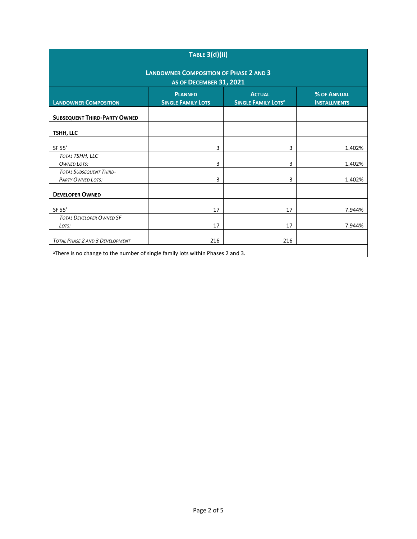| TABLE 3(d)(ii)                                                                                                                                                                     |     |     |        |  |  |  |  |
|------------------------------------------------------------------------------------------------------------------------------------------------------------------------------------|-----|-----|--------|--|--|--|--|
| <b>LANDOWNER COMPOSITION OF PHASE 2 AND 3</b><br>AS OF DECEMBER 31, 2021                                                                                                           |     |     |        |  |  |  |  |
| <b>ACTUAL</b><br><b>% OF ANNUAL</b><br><b>PLANNED</b><br><b>LANDOWNER COMPOSITION</b><br><b>SINGLE FAMILY LOTS</b><br><b>SINGLE FAMILY LOTS<sup>a</sup></b><br><b>INSTALLMENTS</b> |     |     |        |  |  |  |  |
| <b>SUBSEQUENT THIRD-PARTY OWNED</b>                                                                                                                                                |     |     |        |  |  |  |  |
| TSHH, LLC                                                                                                                                                                          |     |     |        |  |  |  |  |
| SF 55'                                                                                                                                                                             | 3   | 3   | 1.402% |  |  |  |  |
| TOTAL TSHH, LLC<br><b>OWNED LOTS:</b>                                                                                                                                              | 3   | 3   | 1.402% |  |  |  |  |
| <b>TOTAL SUBSEQUENT THIRD-</b><br><b>PARTY OWNED LOTS:</b>                                                                                                                         | 3   | 3   | 1.402% |  |  |  |  |
| <b>DEVELOPER OWNED</b>                                                                                                                                                             |     |     |        |  |  |  |  |
| SF 55'                                                                                                                                                                             | 17  | 17  | 7.944% |  |  |  |  |
| <b>TOTAL DEVELOPER OWNED SF</b><br>LOTS:                                                                                                                                           | 17  | 17  | 7.944% |  |  |  |  |
| TOTAL PHASE 2 AND 3 DEVELOPMENT                                                                                                                                                    | 216 | 216 |        |  |  |  |  |
| <sup>a</sup> There is no change to the number of single family lots within Phases 2 and 3.                                                                                         |     |     |        |  |  |  |  |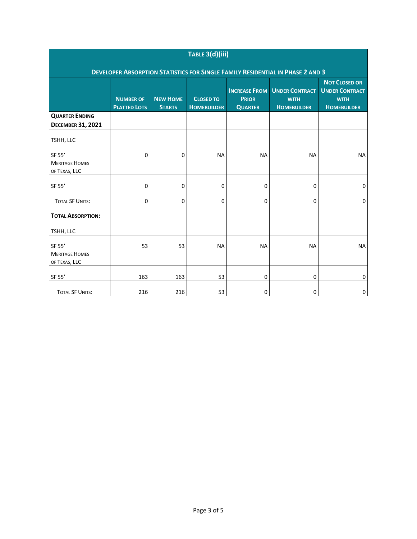| TABLE 3(d)(iii)                                                                       |                                         |                                  |                                        |                                                        |                                                            |                                                                                    |  |  |
|---------------------------------------------------------------------------------------|-----------------------------------------|----------------------------------|----------------------------------------|--------------------------------------------------------|------------------------------------------------------------|------------------------------------------------------------------------------------|--|--|
| <b>DEVELOPER ABSORPTION STATISTICS FOR SINGLE FAMILY RESIDENTIAL IN PHASE 2 AND 3</b> |                                         |                                  |                                        |                                                        |                                                            |                                                                                    |  |  |
|                                                                                       | <b>NUMBER OF</b><br><b>PLATTED LOTS</b> | <b>NEW HOME</b><br><b>STARTS</b> | <b>CLOSED TO</b><br><b>HOMEBUILDER</b> | <b>INCREASE FROM</b><br><b>PRIOR</b><br><b>QUARTER</b> | <b>UNDER CONTRACT</b><br><b>WITH</b><br><b>HOMEBUILDER</b> | <b>NOT CLOSED OR</b><br><b>UNDER CONTRACT</b><br><b>WITH</b><br><b>HOMEBUILDER</b> |  |  |
| <b>QUARTER ENDING</b>                                                                 |                                         |                                  |                                        |                                                        |                                                            |                                                                                    |  |  |
| <b>DECEMBER 31, 2021</b>                                                              |                                         |                                  |                                        |                                                        |                                                            |                                                                                    |  |  |
| TSHH, LLC                                                                             |                                         |                                  |                                        |                                                        |                                                            |                                                                                    |  |  |
| SF 55'                                                                                | 0                                       | 0                                | <b>NA</b>                              | <b>NA</b>                                              | <b>NA</b>                                                  | <b>NA</b>                                                                          |  |  |
| <b>MERITAGE HOMES</b><br>OF TEXAS, LLC                                                |                                         |                                  |                                        |                                                        |                                                            |                                                                                    |  |  |
|                                                                                       |                                         |                                  |                                        |                                                        |                                                            |                                                                                    |  |  |
| SF 55'                                                                                | 0                                       | 0                                | 0                                      | 0                                                      | 0                                                          | 0                                                                                  |  |  |
| <b>TOTAL SF UNITS:</b>                                                                | $\mathbf 0$                             | 0                                | 0                                      | 0                                                      | 0                                                          | $\mathbf 0$                                                                        |  |  |
| <b>TOTAL ABSORPTION:</b>                                                              |                                         |                                  |                                        |                                                        |                                                            |                                                                                    |  |  |
| TSHH, LLC                                                                             |                                         |                                  |                                        |                                                        |                                                            |                                                                                    |  |  |
| SF 55'                                                                                | 53                                      | 53                               | <b>NA</b>                              | <b>NA</b>                                              | <b>NA</b>                                                  | <b>NA</b>                                                                          |  |  |
| <b>MERITAGE HOMES</b>                                                                 |                                         |                                  |                                        |                                                        |                                                            |                                                                                    |  |  |
| OF TEXAS, LLC                                                                         |                                         |                                  |                                        |                                                        |                                                            |                                                                                    |  |  |
| SF 55'                                                                                | 163                                     | 163                              | 53                                     | 0                                                      | 0                                                          | 0                                                                                  |  |  |
| <b>TOTAL SF UNITS:</b>                                                                | 216                                     | 216                              | 53                                     | 0                                                      | 0                                                          | 0                                                                                  |  |  |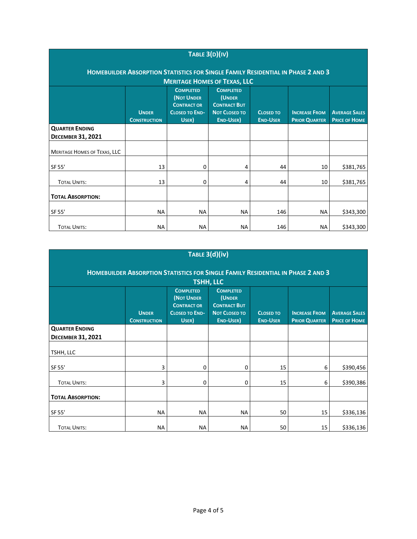| TABLE $3(D)(IV)$                                                                                                                                                                                                                                                                                                                                                                                             |           |           |           |     |           |           |  |
|--------------------------------------------------------------------------------------------------------------------------------------------------------------------------------------------------------------------------------------------------------------------------------------------------------------------------------------------------------------------------------------------------------------|-----------|-----------|-----------|-----|-----------|-----------|--|
| HOMEBUILDER ABSORPTION STATISTICS FOR SINGLE FAMILY RESIDENTIAL IN PHASE 2 AND 3                                                                                                                                                                                                                                                                                                                             |           |           |           |     |           |           |  |
| <b>MERITAGE HOMES OF TEXAS, LLC</b><br><b>COMPLETED</b><br><b>COMPLETED</b><br>(NOT UNDER<br>(UNDER<br><b>CONTRACT OR</b><br><b>CONTRACT BUT</b><br><b>CLOSED TO END-</b><br><b>NOT CLOSED TO</b><br><b>UNDER</b><br><b>INCREASE FROM</b><br><b>AVERAGE SALES</b><br><b>CLOSED TO</b><br>USER)<br><b>END-USER)</b><br><b>PRICE OF HOME</b><br><b>END-USER</b><br><b>PRIOR QUARTER</b><br><b>CONSTRUCTION</b> |           |           |           |     |           |           |  |
| <b>QUARTER ENDING</b><br><b>DECEMBER 31, 2021</b>                                                                                                                                                                                                                                                                                                                                                            |           |           |           |     |           |           |  |
| <b>MERITAGE HOMES OF TEXAS, LLC</b>                                                                                                                                                                                                                                                                                                                                                                          |           |           |           |     |           |           |  |
| SF 55'                                                                                                                                                                                                                                                                                                                                                                                                       | 13        | 0         | 4         | 44  | 10        | \$381,765 |  |
| <b>TOTAL UNITS:</b>                                                                                                                                                                                                                                                                                                                                                                                          | 13        | 0         | 4         | 44  | 10        | \$381,765 |  |
| <b>TOTAL ABSORPTION:</b>                                                                                                                                                                                                                                                                                                                                                                                     |           |           |           |     |           |           |  |
| SF 55'                                                                                                                                                                                                                                                                                                                                                                                                       | <b>NA</b> | <b>NA</b> | <b>NA</b> | 146 | <b>NA</b> | \$343,300 |  |
| <b>TOTAL UNITS:</b>                                                                                                                                                                                                                                                                                                                                                                                          | <b>NA</b> | <b>NA</b> | <b>NA</b> | 146 | <b>NA</b> | \$343,300 |  |

| TABLE 3(d)(iv)                                                                                                                                                                                                                                                                                                                                                                             |           |    |           |    |    |           |  |  |
|--------------------------------------------------------------------------------------------------------------------------------------------------------------------------------------------------------------------------------------------------------------------------------------------------------------------------------------------------------------------------------------------|-----------|----|-----------|----|----|-----------|--|--|
| HOMEBUILDER ABSORPTION STATISTICS FOR SINGLE FAMILY RESIDENTIAL IN PHASE 2 AND 3                                                                                                                                                                                                                                                                                                           |           |    |           |    |    |           |  |  |
| <b>TSHH, LLC</b><br><b>COMPLETED</b><br><b>COMPLETED</b><br>(NOT UNDER<br>(UNDER<br><b>CONTRACT BUT</b><br><b>CONTRACT OR</b><br><b>UNDER</b><br><b>CLOSED TO END-</b><br><b>NOT CLOSED TO</b><br><b>INCREASE FROM</b><br><b>AVERAGE SALES</b><br><b>CLOSED TO</b><br>USER)<br><b>END-USER</b> )<br><b>END-USER</b><br><b>PRICE OF HOME</b><br><b>PRIOR QUARTER</b><br><b>CONSTRUCTION</b> |           |    |           |    |    |           |  |  |
| <b>QUARTER ENDING</b><br><b>DECEMBER 31, 2021</b>                                                                                                                                                                                                                                                                                                                                          |           |    |           |    |    |           |  |  |
| TSHH, LLC                                                                                                                                                                                                                                                                                                                                                                                  |           |    |           |    |    |           |  |  |
| SF 55'                                                                                                                                                                                                                                                                                                                                                                                     | 3         | 0  | 0         | 15 | 6  | \$390,456 |  |  |
| <b>TOTAL UNITS:</b>                                                                                                                                                                                                                                                                                                                                                                        | 3         | 0  | 0         | 15 | 6  | \$390,386 |  |  |
| <b>TOTAL ABSORPTION:</b>                                                                                                                                                                                                                                                                                                                                                                   |           |    |           |    |    |           |  |  |
| SF 55'                                                                                                                                                                                                                                                                                                                                                                                     | NА        | NА | <b>NA</b> | 50 | 15 | \$336,136 |  |  |
| <b>TOTAL UNITS:</b>                                                                                                                                                                                                                                                                                                                                                                        | <b>NA</b> | NA | <b>NA</b> | 50 | 15 | \$336,136 |  |  |